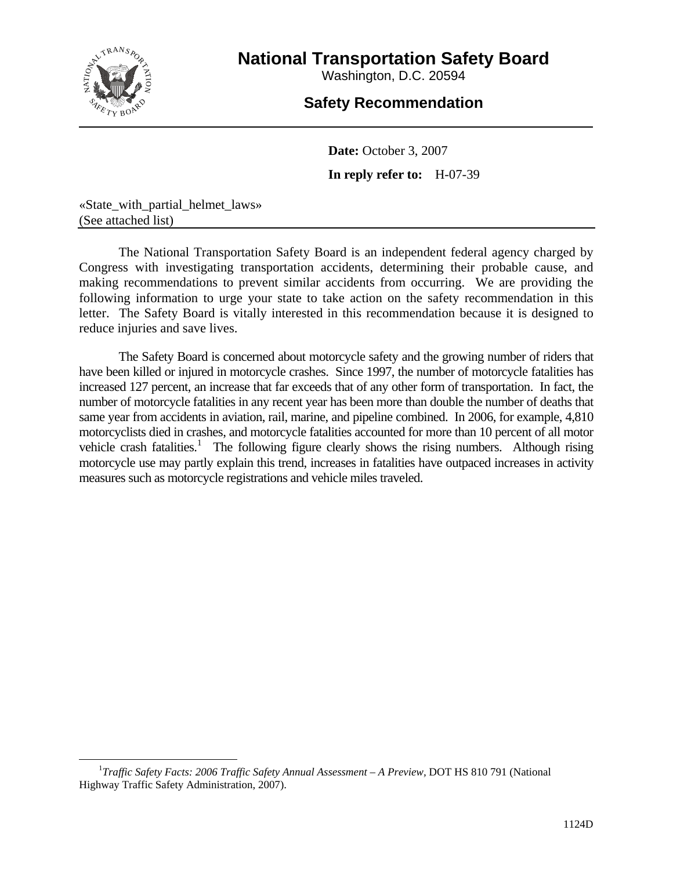

# **National Transportation Safety Board**

Washington, D.C. 20594

# **Safety Recommendation**

**Date:** October 3, 2007 **In reply refer to:** H-07-39

«State\_with\_partial\_helmet\_laws» (See attached list)

The National Transportation Safety Board is an independent federal agency charged by Congress with investigating transportation accidents, determining their probable cause, and making recommendations to prevent similar accidents from occurring. We are providing the following information to urge your state to take action on the safety recommendation in this letter. The Safety Board is vitally interested in this recommendation because it is designed to reduce injuries and save lives.

The Safety Board is concerned about motorcycle safety and the growing number of riders that have been killed or injured in motorcycle crashes. Since 1997, the number of motorcycle fatalities has increased 127 percent, an increase that far exceeds that of any other form of transportation. In fact, the number of motorcycle fatalities in any recent year has been more than double the number of deaths that same year from accidents in aviation, rail, marine, and pipeline combined. In 2006, for example, 4,810 motorcyclists died in crashes, and motorcycle fatalities accounted for more than 10 percent of all motor vehicle crash fatalities.<sup>[1](#page-0-0)</sup> The following figure clearly shows the rising numbers. Although rising motorcycle use may partly explain this trend, increases in fatalities have outpaced increases in activity measures such as motorcycle registrations and vehicle miles traveled.

<span id="page-0-0"></span> $\overline{\phantom{0}1}$ *Traffic Safety Facts: 2006 Traffic Safety Annual Assessment – A Preview,* DOT HS 810 791 (National Highway Traffic Safety Administration, 2007).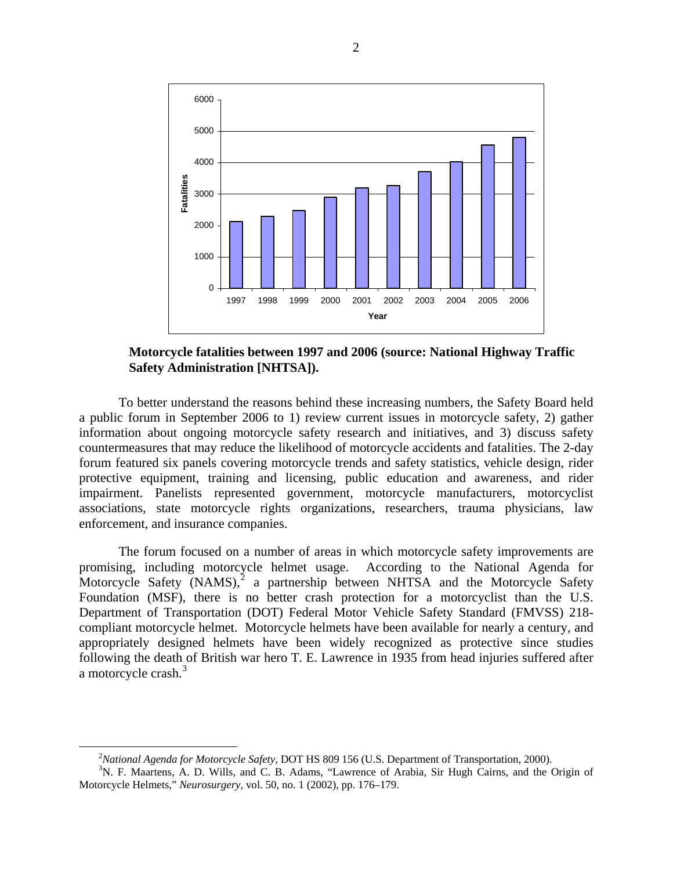

**Motorcycle fatalities between 1997 and 2006 (source: National Highway Traffic Safety Administration [NHTSA]).** 

To better understand the reasons behind these increasing numbers, the Safety Board held a public forum in September 2006 to 1) review current issues in motorcycle safety, 2) gather information about ongoing motorcycle safety research and initiatives, and 3) discuss safety countermeasures that may reduce the likelihood of motorcycle accidents and fatalities. The 2-day forum featured six panels covering motorcycle trends and safety statistics, vehicle design, rider protective equipment, training and licensing, public education and awareness, and rider impairment. Panelists represented government, motorcycle manufacturers, motorcyclist associations, state motorcycle rights organizations, researchers, trauma physicians, law enforcement, and insurance companies.

The forum focused on a number of areas in which motorcycle safety improvements are promising, including motorcycle helmet usage. According to the National Agenda for Motorcycle Safety  $(NAMS)$ ,<sup>[2](#page-1-0)</sup> a partnership between NHTSA and the Motorcycle Safety Foundation (MSF), there is no better crash protection for a motorcyclist than the U.S. Department of Transportation (DOT) Federal Motor Vehicle Safety Standard (FMVSS) 218 compliant motorcycle helmet. Motorcycle helmets have been available for nearly a century, and appropriately designed helmets have been widely recognized as protective since studies following the death of British war hero T. E. Lawrence in 1935 from head injuries suffered after a motorcycle crash.<sup>[3](#page-1-1)</sup>

 $\frac{1}{2}$ <sup>2</sup>National Agenda for Motorcycle Safety, DOT HS 809 156 (U.S. Department of Transportation, 2000).

<span id="page-1-1"></span><span id="page-1-0"></span><sup>&</sup>lt;sup>3</sup>N. F. Maartens, A. D. Wills, and C. B. Adams, "Lawrence of Arabia, Sir Hugh Cairns, and the Origin of Motorcycle Helmets," *Neurosurgery*, vol. 50, no. 1 (2002), pp. 176–179.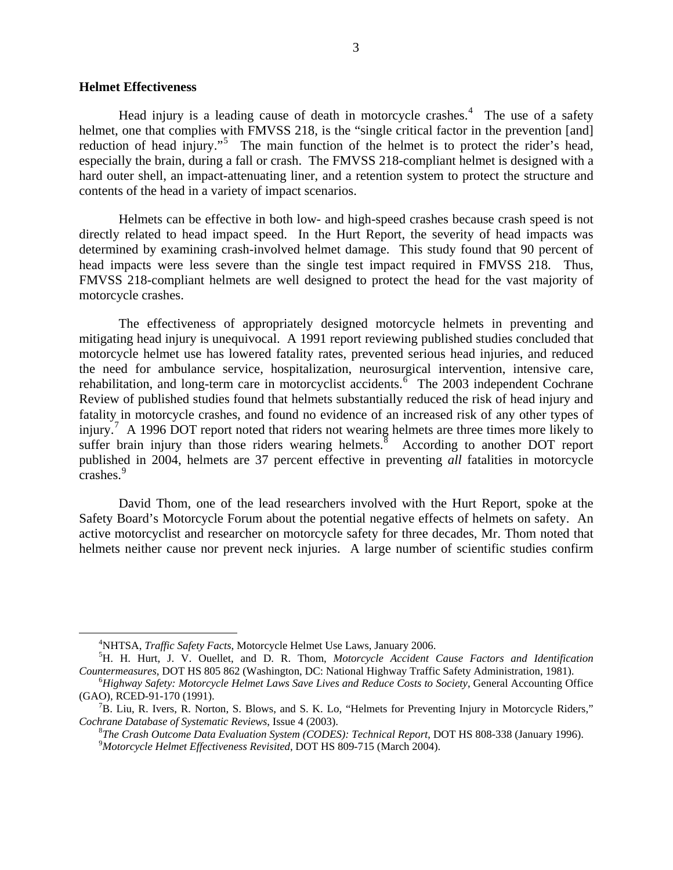### **Helmet Effectiveness**

Head injury is a leading cause of death in motorcycle crashes.<sup>[4](#page-2-0)</sup> The use of a safety helmet, one that complies with FMVSS 218, is the "single critical factor in the prevention [and] reduction of head injury."<sup>[5](#page-2-1)</sup> The main function of the helmet is to protect the rider's head, especially the brain, during a fall or crash. The FMVSS 218-compliant helmet is designed with a hard outer shell, an impact-attenuating liner, and a retention system to protect the structure and contents of the head in a variety of impact scenarios.

Helmets can be effective in both low- and high-speed crashes because crash speed is not directly related to head impact speed. In the Hurt Report, the severity of head impacts was determined by examining crash-involved helmet damage. This study found that 90 percent of head impacts were less severe than the single test impact required in FMVSS 218. Thus, FMVSS 218-compliant helmets are well designed to protect the head for the vast majority of motorcycle crashes.

The effectiveness of appropriately designed motorcycle helmets in preventing and mitigating head injury is unequivocal. A 1991 report reviewing published studies concluded that motorcycle helmet use has lowered fatality rates, prevented serious head injuries, and reduced the need for ambulance service, hospitalization, neurosurgical intervention, intensive care, rehabilitation, and long-term care in motorcyclist accidents. <sup> $\delta$ </sup> The 2003 independent Cochrane Review of published studies found that helmets substantially reduced the risk of head injury and fatality in motorcycle crashes, and found no evidence of an increased risk of any other types of injury.<sup>[7](#page-2-3)</sup> A 1996 DOT report noted that riders not wearing helmets are three times more likely to suffer brain injury than those riders wearing helmets. $\overline{8}$  $\overline{8}$  $\overline{8}$  According to another DOT report published in 2004, helmets are 37 percent effective in preventing *all* fatalities in motorcycle  $\frac{1}{2}$  crashes.<sup>[9](#page-2-5)</sup>

David Thom, one of the lead researchers involved with the Hurt Report, spoke at the Safety Board's Motorcycle Forum about the potential negative effects of helmets on safety. An active motorcyclist and researcher on motorcycle safety for three decades, Mr. Thom noted that helmets neither cause nor prevent neck injuries. A large number of scientific studies confirm

<span id="page-2-1"></span><span id="page-2-0"></span> $\overline{4}$ <sup>4</sup>NHTSA, *Traffic Safety Facts*, Motorcycle Helmet Use Laws, January 2006.

<span id="page-2-3"></span><span id="page-2-2"></span>H. H. Hurt, J. V. Ouellet, and D. R. Thom, *Motorcycle Accident Cause Factors and Identification Countermeasures*, DOT HS 805 862 (Washington, DC: National Highway Traffic Safety Administration, 1981). 6

<span id="page-2-4"></span>*Highway Safety: Motorcycle Helmet Laws Save Lives and Reduce Costs to Society*, General Accounting Office (GAO), RCED-91-170 (1991). 7

<span id="page-2-7"></span><span id="page-2-6"></span><span id="page-2-5"></span> $B^7B$ . Liu, R. Ivers, R. Norton, S. Blows, and S. K. Lo, "Helmets for Preventing Injury in Motorcycle Riders," *Cochrane Database of Systematic Reviews*, Issue 4 (2003).

*The Crash Outcome Data Evaluation System (CODES): Technical Report*, DOT HS 808-338 (January 1996). 9 *Motorcycle Helmet Effectiveness Revisited*, DOT HS 809-715 (March 2004).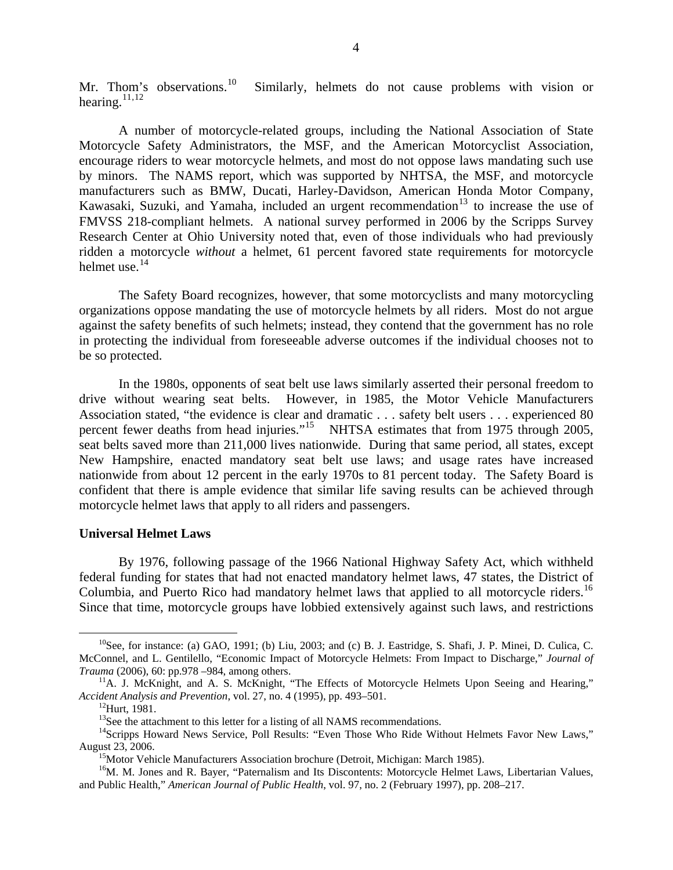Mr. Thom's observations.<sup>[10](#page-2-6)</sup> Similarly, helmets do not cause problems with vision or hearing.<sup>[11](#page-2-7),[12](#page-3-0)</sup>

A number of motorcycle-related groups, including the National Association of State Motorcycle Safety Administrators, the MSF, and the American Motorcyclist Association, encourage riders to wear motorcycle helmets, and most do not oppose laws mandating such use by minors. The NAMS report, which was supported by NHTSA, the MSF, and motorcycle manufacturers such as BMW, Ducati, Harley-Davidson, American Honda Motor Company, Kawasaki, Suzuki, and Yamaha, included an urgent recommendation<sup>[13](#page-3-1)</sup> to increase the use of FMVSS 218-compliant helmets. A national survey performed in 2006 by the Scripps Survey Research Center at Ohio University noted that, even of those individuals who had previously ridden a motorcycle *without* a helmet, 61 percent favored state requirements for motorcycle helmet use.<sup>[14](#page-3-2)</sup>

The Safety Board recognizes, however, that some motorcyclists and many motorcycling organizations oppose mandating the use of motorcycle helmets by all riders. Most do not argue against the safety benefits of such helmets; instead, they contend that the government has no role in protecting the individual from foreseeable adverse outcomes if the individual chooses not to be so protected.

In the 1980s, opponents of seat belt use laws similarly asserted their personal freedom to drive without wearing seat belts. However, in 1985, the Motor Vehicle Manufacturers Association stated, "the evidence is clear and dramatic . . . safety belt users . . . experienced 80 percent fewer deaths from head injuries."<sup>[15](#page-3-3)</sup> NHTSA estimates that from 1975 through 2005, seat belts saved more than 211,000 lives nationwide. During that same period, all states, except New Hampshire, enacted mandatory seat belt use laws; and usage rates have increased nationwide from about 12 percent in the early 1970s to 81 percent today. The Safety Board is confident that there is ample evidence that similar life saving results can be achieved through motorcycle helmet laws that apply to all riders and passengers.

### **Universal Helmet Laws**

By 1976, following passage of the 1966 National Highway Safety Act, which withheld federal funding for states that had not enacted mandatory helmet laws, 47 states, the District of Columbia, and Puerto Rico had mandatory helmet laws that applied to all motorcycle riders.<sup>16</sup> Since that time, motorcycle groups have lobbied extensively against such laws, and restrictions

 $^{10}$ See, for instance: (a) GAO, 1991; (b) Liu, 2003; and (c) B. J. Eastridge, S. Shafi, J. P. Minei, D. Culica, C. McConnel, and L. Gentilello, "Economic Impact of Motorcycle Helmets: From Impact to Discharge," *Journal of* 

<sup>&</sup>lt;sup>11</sup>A. J. McKnight, and A. S. McKnight, "The Effects of Motorcycle Helmets Upon Seeing and Hearing," *Accident Analysis and Prevention*, vol. 27, no. 4 (1995), pp. 493–501.<br><sup>12</sup>Hurt, 1981.<br><sup>13</sup>See the attachment to this letter for a listing of all NAMS recommendations.

<span id="page-3-2"></span><span id="page-3-1"></span><span id="page-3-0"></span><sup>&</sup>lt;sup>14</sup>Scripps Howard News Service, Poll Results: "Even Those Who Ride Without Helmets Favor New Laws,"<br>August 23, 2006.

<span id="page-3-4"></span><span id="page-3-3"></span><sup>&</sup>lt;sup>15</sup>Motor Vehicle Manufacturers Association brochure (Detroit, Michigan: March 1985).<br><sup>16</sup>M. M. Jones and R. Bayer, "Paternalism and Its Discontents: Motorcycle Helmet Laws, Libertarian Values, and Public Health," *American Journal of Public Health*, vol. 97, no. 2 (February 1997), pp. 208–217.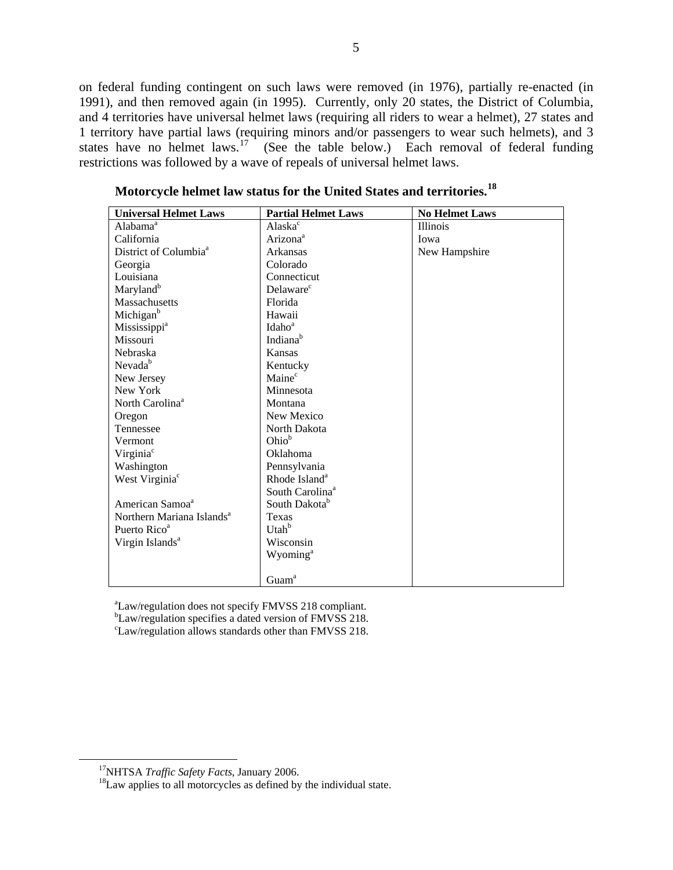on federal funding contingent on such laws were removed (in 1976), partially re-enacted (in 1991), and then removed again (in 1995). Currently, only 20 states, the District of Columbia, and 4 territories have universal helmet laws (requiring all riders to wear a helmet), 27 states and 1 territory have partial laws (requiring minors and/or passengers to wear such helmets), and 3 states have no helmet laws.<sup>[17](#page-4-0)</sup> (See the table below.) Each removal of federal funding restrictions was followed by a wave of repeals of universal helmet laws.

| <b>Universal Helmet Laws</b>          | <b>Partial Helmet Laws</b>  | <b>No Helmet Laws</b> |
|---------------------------------------|-----------------------------|-----------------------|
| Alabama <sup>a</sup>                  | Alaska <sup>c</sup>         | <b>Illinois</b>       |
| California                            | Arizona <sup>a</sup>        | Iowa                  |
| District of Columbia <sup>a</sup>     | Arkansas                    | New Hampshire         |
| Georgia                               | Colorado                    |                       |
| Louisiana                             | Connecticut                 |                       |
| Maryland <sup>b</sup>                 | Delaware <sup>c</sup>       |                       |
| Massachusetts                         | Florida                     |                       |
| Michigan <sup>b</sup>                 | Hawaii                      |                       |
| Mississippi <sup>a</sup>              | Idaho <sup>a</sup>          |                       |
| Missouri                              | Indiana <sup>b</sup>        |                       |
| Nebraska                              | Kansas                      |                       |
| Nevada <sup>b</sup>                   | Kentucky                    |                       |
| New Jersey                            | Maine <sup>c</sup>          |                       |
| New York                              | Minnesota                   |                       |
| North Carolina <sup>a</sup>           | Montana                     |                       |
| Oregon                                | New Mexico                  |                       |
| Tennessee                             | North Dakota                |                       |
| Vermont                               | Ohio <sup>b</sup>           |                       |
| Virginia <sup>c</sup>                 | Oklahoma                    |                       |
| Washington                            | Pennsylvania                |                       |
| West Virginia <sup>c</sup>            | Rhode Island <sup>a</sup>   |                       |
|                                       | South Carolina <sup>a</sup> |                       |
| American Samoa <sup>a</sup>           | South Dakota <sup>b</sup>   |                       |
| Northern Mariana Islands <sup>a</sup> | Texas                       |                       |
| Puerto Rico <sup>a</sup>              | Utah <sup>b</sup>           |                       |
| Virgin Islands <sup>a</sup>           | Wisconsin                   |                       |
|                                       | Wyoming <sup>a</sup>        |                       |
|                                       |                             |                       |
|                                       | Guam <sup>a</sup>           |                       |

**Motorcycle helmet law status for the United States and territories.[18](#page-4-1)** 

<sup>a</sup>Law/regulation does not specify FMVSS 218 compliant.

<sup>b</sup>Law/regulation specifies a dated version of FMVSS 218.

c Law/regulation allows standards other than FMVSS 218.

<span id="page-4-1"></span><span id="page-4-0"></span><sup>&</sup>lt;sup>17</sup>NHTSA *Traffic Safety Facts*, January 2006.<br><sup>18</sup>Law applies to all motorcycles as defined by the individual state.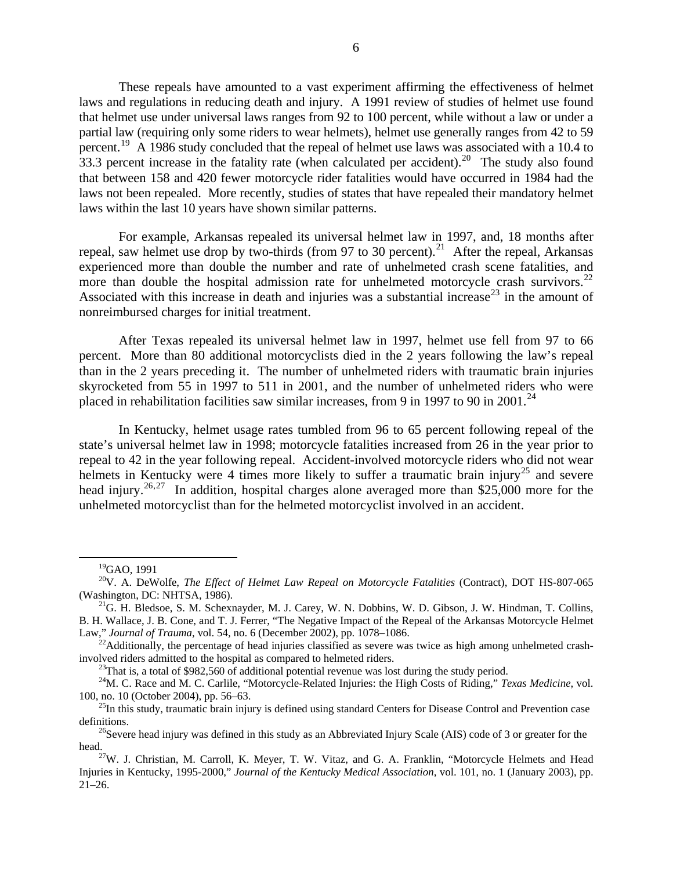These repeals have amounted to a vast experiment affirming the effectiveness of helmet laws and regulations in reducing death and injury. A 1991 review of studies of helmet use found that helmet use under universal laws ranges from 92 to 100 percent, while without a law or under a partial law (requiring only some riders to wear helmets), helmet use generally ranges from 42 to 59 percent.<sup>[19](#page-5-0)</sup> A 1986 study concluded that the repeal of helmet use laws was associated with a 10.4 to 33.3 percent increase in the fatality rate (when calculated per accident).<sup>[20](#page-5-1)</sup> The study also found that between 158 and 420 fewer motorcycle rider fatalities would have occurred in 1984 had the laws not been repealed. More recently, studies of states that have repealed their mandatory helmet laws within the last 10 years have shown similar patterns.

For example, Arkansas repealed its universal helmet law in 1997, and, 18 months after repeal, saw helmet use drop by two-thirds (from 97 to 30 percent).<sup>[21](#page-5-2)</sup> After the repeal, Arkansas experienced more than double the number and rate of unhelmeted crash scene fatalities, and more than double the hospital admission rate for unhelmeted motorcycle crash survivors.<sup>22</sup> Associated with this increase in death and injuries was a substantial increase<sup>[23](#page-5-4)</sup> in the amount of nonreimbursed charges for initial treatment.

After Texas repealed its universal helmet law in 1997, helmet use fell from 97 to 66 percent. More than 80 additional motorcyclists died in the 2 years following the law's repeal than in the 2 years preceding it. The number of unhelmeted riders with traumatic brain injuries skyrocketed from 55 in 1997 to 511 in 2001, and the number of unhelmeted riders who were placed in rehabilitation facilities saw similar increases, from 9 in 1997 to 90 in 2001.<sup>[24](#page-5-5)</sup>

In Kentucky, helmet usage rates tumbled from 96 to 65 percent following repeal of the state's universal helmet law in 1998; motorcycle fatalities increased from 26 in the year prior to repeal to 42 in the year following repeal. Accident-involved motorcycle riders who did not wear helmets in Kentucky were 4 times more likely to suffer a traumatic brain injury<sup>[25](#page-5-6)</sup> and severe head injury.<sup>[26](#page-5-7),[27](#page-5-8)</sup> In addition, hospital charges alone averaged more than \$25,000 more for the unhelmeted motorcyclist than for the helmeted motorcyclist involved in an accident.

 <sup>19</sup>GAO, 1991

<span id="page-5-1"></span><span id="page-5-0"></span><sup>20</sup>V. A. DeWolfe, *The Effect of Helmet Law Repeal on Motorcycle Fatalities* (Contract), DOT HS-807-065 (Washington, DC: NHTSA, 1986).<br><sup>21</sup>G. H. Bledsoe, S. M. Schexnayder, M. J. Carey, W. N. Dobbins, W. D. Gibson, J. W. Hindman, T. Collins,

<span id="page-5-2"></span>B. H. Wallace, J. B. Cone, and T. J. Ferrer, "The Negative Impact of the Repeal of the Arkansas Motorcycle Helmet Law," *Journal of Trauma*, vol. 54, no. 6 (December 2002), pp. 1078–1086.<br><sup>22</sup>Additionally, the percentage of head injuries classified as severe was twice as high among unhelmeted crash-

<span id="page-5-3"></span>involved riders admitted to the hospital as compared to helmeted riders. 23That is, a total of \$982,560 of additional potential revenue was lost during the study period.

<span id="page-5-5"></span><span id="page-5-4"></span><sup>&</sup>lt;sup>24</sup>M. C. Race and M. C. Carlile, "Motorcycle-Related Injuries: the High Costs of Riding," *Texas Medicine*, vol. 100, no. 10 (October 2004), pp. 56–63.<br><sup>25</sup>In this study, traumatic brain injury is defined using standard Centers for Disease Control and Prevention case

<span id="page-5-6"></span>definitions.<br><sup>26</sup>Severe head injury was defined in this study as an Abbreviated Injury Scale (AIS) code of 3 or greater for the

<span id="page-5-8"></span><span id="page-5-7"></span>head. <sup>27</sup>W. J. Christian, M. Carroll, K. Meyer, T. W. Vitaz, and G. A. Franklin, "Motorcycle Helmets and Head. <sup>27</sup>W. J. Christian, M. Carroll, K. Meyer, T. W. Vitaz, and G. A. Franklin, "Motorcycle Helmets and Head. Injuries in Kentucky, 1995-2000," *Journal of the Kentucky Medical Association*, vol. 101, no. 1 (January 2003), pp. 21–26.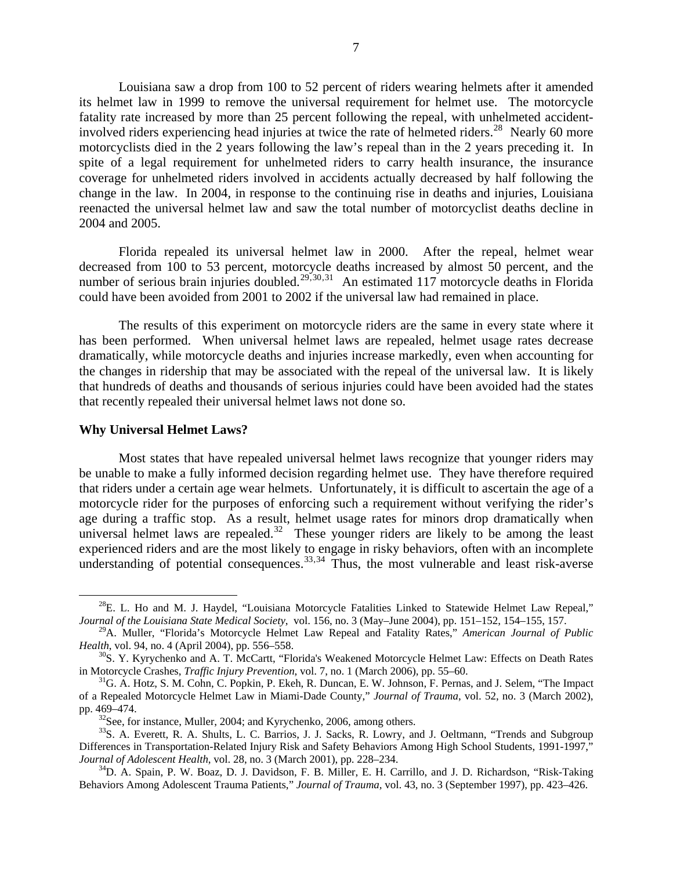Louisiana saw a drop from 100 to 52 percent of riders wearing helmets after it amended its helmet law in 1999 to remove the universal requirement for helmet use. The motorcycle fatality rate increased by more than 25 percent following the repeal, with unhelmeted accident-involved riders experiencing head injuries at twice the rate of helmeted riders.<sup>[28](#page-6-0)</sup> Nearly 60 more motorcyclists died in the 2 years following the law's repeal than in the 2 years preceding it. In spite of a legal requirement for unhelmeted riders to carry health insurance, the insurance coverage for unhelmeted riders involved in accidents actually decreased by half following the change in the law. In 2004, in response to the continuing rise in deaths and injuries, Louisiana reenacted the universal helmet law and saw the total number of motorcyclist deaths decline in 2004 and 2005.

Florida repealed its universal helmet law in 2000. After the repeal, helmet wear decreased from 100 to 53 percent, motorcycle deaths increased by almost 50 percent, and the number of serious brain injuries doubled.<sup>[29](#page-6-1), 30, [31](#page-6-3)</sup> An estimated 117 motorcycle deaths in Florida could have been avoided from 2001 to 2002 if the universal law had remained in place.

The results of this experiment on motorcycle riders are the same in every state where it has been performed. When universal helmet laws are repealed, helmet usage rates decrease dramatically, while motorcycle deaths and injuries increase markedly, even when accounting for the changes in ridership that may be associated with the repeal of the universal law. It is likely that hundreds of deaths and thousands of serious injuries could have been avoided had the states that recently repealed their universal helmet laws not done so.

#### **Why Universal Helmet Laws?**

Most states that have repealed universal helmet laws recognize that younger riders may be unable to make a fully informed decision regarding helmet use. They have therefore required that riders under a certain age wear helmets. Unfortunately, it is difficult to ascertain the age of a motorcycle rider for the purposes of enforcing such a requirement without verifying the rider's age during a traffic stop. As a result, helmet usage rates for minors drop dramatically when universal helmet laws are repealed.<sup>[32](#page-6-4)</sup> These younger riders are likely to be among the least experienced riders and are the most likely to engage in risky behaviors, often with an incomplete understanding of potential consequences.  $33,34$  $33,34$  $33,34$  Thus, the most vulnerable and least risk-averse

<span id="page-6-0"></span> $^{28}E$ . L. Ho and M. J. Haydel, "Louisiana Motorcycle Fatalities Linked to Statewide Helmet Law Repeal," *Journal of the Louisiana State Medical Society*, vol. 156, no. 3 (May–June 2004), pp. 151–152, 154–155, 157.

<span id="page-6-1"></span><sup>29</sup>A. Muller, "Florida's Motorcycle Helmet Law Repeal and Fatality Rates," *American Journal of Public Health*, vol. 94, no. 4 (April 2004), pp. 556–558.<br><sup>30</sup>S. Y. Kyrychenko and A. T. McCartt, "Florida's Weakened Motorcycle Helmet Law: Effects on Death Rates

<span id="page-6-2"></span>in Motorcycle Crashes, *Traffic Injury Prevention*, vol. 7, no. 1 (March 2006), pp. 55–60.<br><sup>31</sup>G. A. Hotz, S. M. Cohn, C. Popkin, P. Ekeh, R. Duncan, E. W. Johnson, F. Pernas, and J. Selem, "The Impact

<span id="page-6-3"></span>of a Repealed Motorcycle Helmet Law in Miami-Dade County," *Journal of Trauma*, vol. 52, no. 3 (March 2002),

<span id="page-6-5"></span><span id="page-6-4"></span>pp. 469–474.<br><sup>32</sup>See, for instance, Muller, 2004; and Kyrychenko, 2006, among others.<br><sup>33</sup>S. A. Everett, R. A. Shults, L. C. Barrios, J. J. Sacks, R. Lowry, and J. Oeltmann, "Trends and Subgroup Differences in Transportation-Related Injury Risk and Safety Behaviors Among High School Students, 1991-1997," *Journal of Adolescent Health*, vol. 28, no. 3 (March 2001), pp. 228–234.<br><sup>34</sup>D. A. Spain, P. W. Boaz, D. J. Davidson, F. B. Miller, E. H. Carrillo, and J. D. Richardson, "Risk-Taking

<span id="page-6-6"></span>Behaviors Among Adolescent Trauma Patients," *Journal of Trauma,* vol. 43, no. 3 (September 1997), pp. 423–426.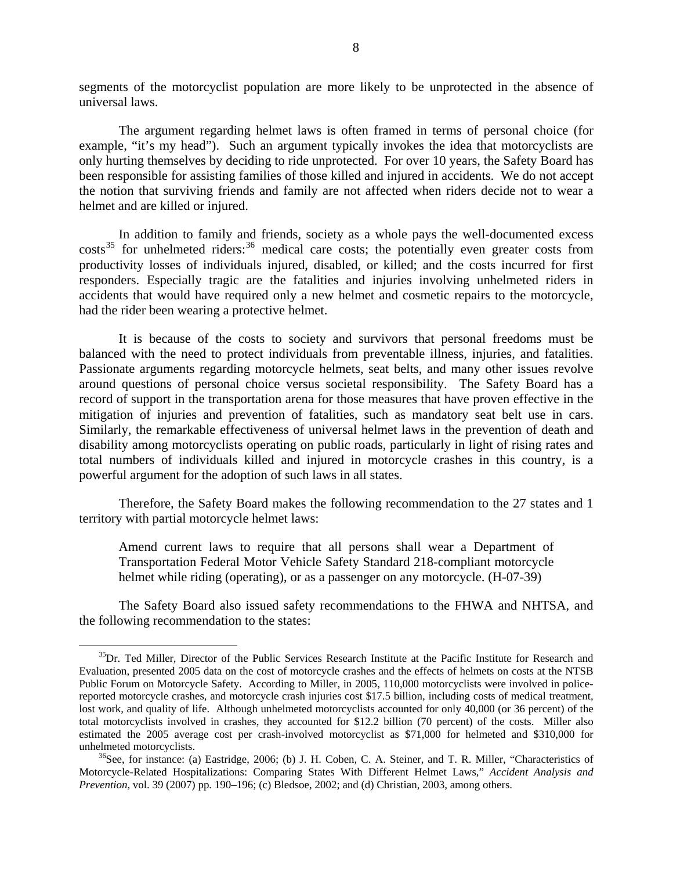segments of the motorcyclist population are more likely to be unprotected in the absence of universal laws.

The argument regarding helmet laws is often framed in terms of personal choice (for example, "it's my head"). Such an argument typically invokes the idea that motorcyclists are only hurting themselves by deciding to ride unprotected. For over 10 years, the Safety Board has been responsible for assisting families of those killed and injured in accidents. We do not accept the notion that surviving friends and family are not affected when riders decide not to wear a helmet and are killed or injured.

In addition to family and friends, society as a whole pays the well-documented excess  $costs<sup>35</sup>$  $costs<sup>35</sup>$  $costs<sup>35</sup>$  for unhelmeted riders:<sup>[36](#page-7-1)</sup> medical care costs; the potentially even greater costs from productivity losses of individuals injured, disabled, or killed; and the costs incurred for first responders. Especially tragic are the fatalities and injuries involving unhelmeted riders in accidents that would have required only a new helmet and cosmetic repairs to the motorcycle, had the rider been wearing a protective helmet.

It is because of the costs to society and survivors that personal freedoms must be balanced with the need to protect individuals from preventable illness, injuries, and fatalities. Passionate arguments regarding motorcycle helmets, seat belts, and many other issues revolve around questions of personal choice versus societal responsibility. The Safety Board has a record of support in the transportation arena for those measures that have proven effective in the mitigation of injuries and prevention of fatalities, such as mandatory seat belt use in cars. Similarly, the remarkable effectiveness of universal helmet laws in the prevention of death and disability among motorcyclists operating on public roads, particularly in light of rising rates and total numbers of individuals killed and injured in motorcycle crashes in this country, is a powerful argument for the adoption of such laws in all states.

Therefore, the Safety Board makes the following recommendation to the 27 states and 1 territory with partial motorcycle helmet laws:

Amend current laws to require that all persons shall wear a Department of Transportation Federal Motor Vehicle Safety Standard 218-compliant motorcycle helmet while riding (operating), or as a passenger on any motorcycle. (H-07-39)

The Safety Board also issued safety recommendations to the FHWA and NHTSA, and the following recommendation to the states:

<span id="page-7-0"></span><sup>&</sup>lt;sup>35</sup>Dr. Ted Miller, Director of the Public Services Research Institute at the Pacific Institute for Research and Evaluation, presented 2005 data on the cost of motorcycle crashes and the effects of helmets on costs at the NTSB Public Forum on Motorcycle Safety. According to Miller, in 2005, 110,000 motorcyclists were involved in policereported motorcycle crashes, and motorcycle crash injuries cost \$17.5 billion, including costs of medical treatment, lost work, and quality of life. Although unhelmeted motorcyclists accounted for only 40,000 (or 36 percent) of the total motorcyclists involved in crashes, they accounted for \$12.2 billion (70 percent) of the costs. Miller also estimated the 2005 average cost per crash-involved motorcyclist as \$71,000 for helmeted and \$310,000 for unhelmeted motorcyclists.<br><sup>36</sup>See, for instance: (a) Eastridge, 2006; (b) J. H. Coben, C. A. Steiner, and T. R. Miller, "Characteristics of

<span id="page-7-1"></span>Motorcycle-Related Hospitalizations: Comparing States With Different Helmet Laws," *Accident Analysis and Prevention*, vol. 39 (2007) pp. 190–196; (c) Bledsoe, 2002; and (d) Christian, 2003, among others.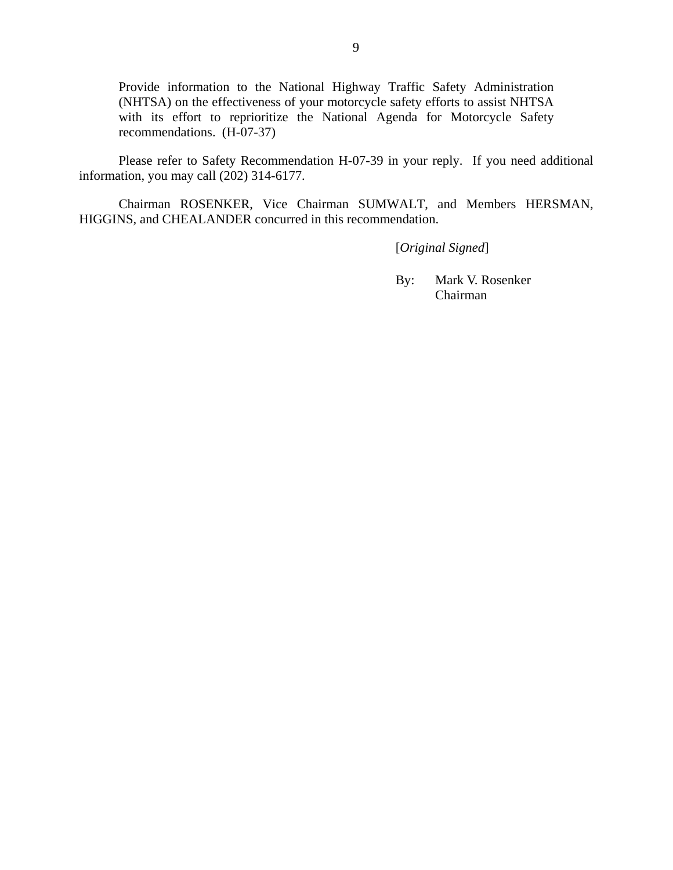Provide information to the National Highway Traffic Safety Administration (NHTSA) on the effectiveness of your motorcycle safety efforts to assist NHTSA with its effort to reprioritize the National Agenda for Motorcycle Safety recommendations. (H-07-37)

Please refer to Safety Recommendation H-07-39 in your reply. If you need additional information, you may call (202) 314-6177.

Chairman ROSENKER, Vice Chairman SUMWALT, and Members HERSMAN, HIGGINS, and CHEALANDER concurred in this recommendation.

[*Original Signed*]

By: Mark V. Rosenker Chairman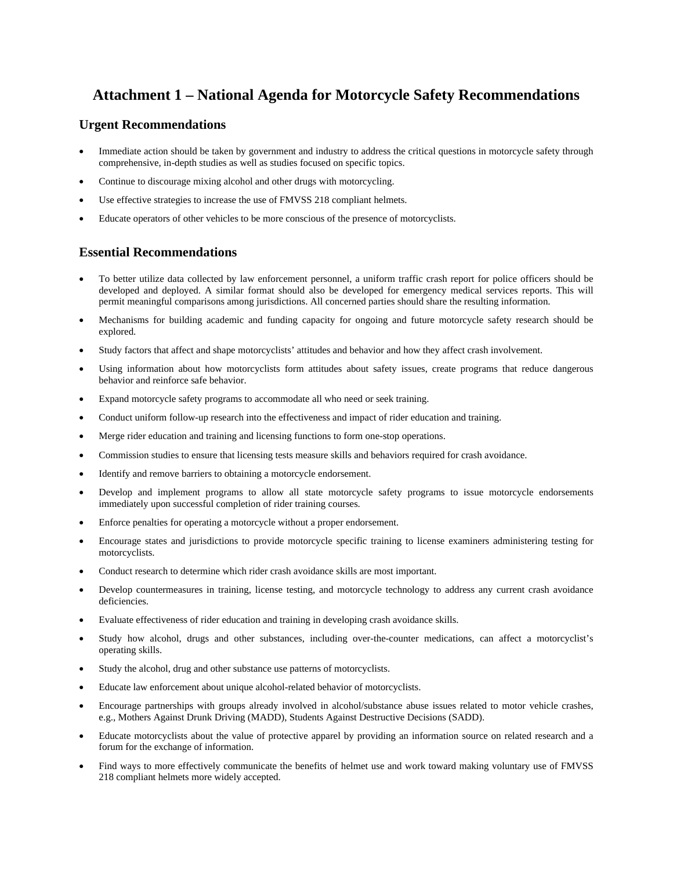# **Attachment 1 – National Agenda for Motorcycle Safety Recommendations**

### **Urgent Recommendations**

- Immediate action should be taken by government and industry to address the critical questions in motorcycle safety through comprehensive, in-depth studies as well as studies focused on specific topics.
- Continue to discourage mixing alcohol and other drugs with motorcycling.
- Use effective strategies to increase the use of FMVSS 218 compliant helmets.
- Educate operators of other vehicles to be more conscious of the presence of motorcyclists.

## **Essential Recommendations**

- To better utilize data collected by law enforcement personnel, a uniform traffic crash report for police officers should be developed and deployed. A similar format should also be developed for emergency medical services reports. This will permit meaningful comparisons among jurisdictions. All concerned parties should share the resulting information.
- Mechanisms for building academic and funding capacity for ongoing and future motorcycle safety research should be explored.
- Study factors that affect and shape motorcyclists' attitudes and behavior and how they affect crash involvement.
- Using information about how motorcyclists form attitudes about safety issues, create programs that reduce dangerous behavior and reinforce safe behavior.
- Expand motorcycle safety programs to accommodate all who need or seek training.
- Conduct uniform follow-up research into the effectiveness and impact of rider education and training.
- Merge rider education and training and licensing functions to form one-stop operations.
- Commission studies to ensure that licensing tests measure skills and behaviors required for crash avoidance.
- Identify and remove barriers to obtaining a motorcycle endorsement.
- Develop and implement programs to allow all state motorcycle safety programs to issue motorcycle endorsements immediately upon successful completion of rider training courses.
- Enforce penalties for operating a motorcycle without a proper endorsement.
- Encourage states and jurisdictions to provide motorcycle specific training to license examiners administering testing for motorcyclists.
- Conduct research to determine which rider crash avoidance skills are most important.
- Develop countermeasures in training, license testing, and motorcycle technology to address any current crash avoidance deficiencies.
- Evaluate effectiveness of rider education and training in developing crash avoidance skills.
- Study how alcohol, drugs and other substances, including over-the-counter medications, can affect a motorcyclist's operating skills.
- Study the alcohol, drug and other substance use patterns of motorcyclists.
- Educate law enforcement about unique alcohol-related behavior of motorcyclists.
- Encourage partnerships with groups already involved in alcohol/substance abuse issues related to motor vehicle crashes, e.g., Mothers Against Drunk Driving (MADD), Students Against Destructive Decisions (SADD).
- Educate motorcyclists about the value of protective apparel by providing an information source on related research and a forum for the exchange of information.
- Find ways to more effectively communicate the benefits of helmet use and work toward making voluntary use of FMVSS 218 compliant helmets more widely accepted.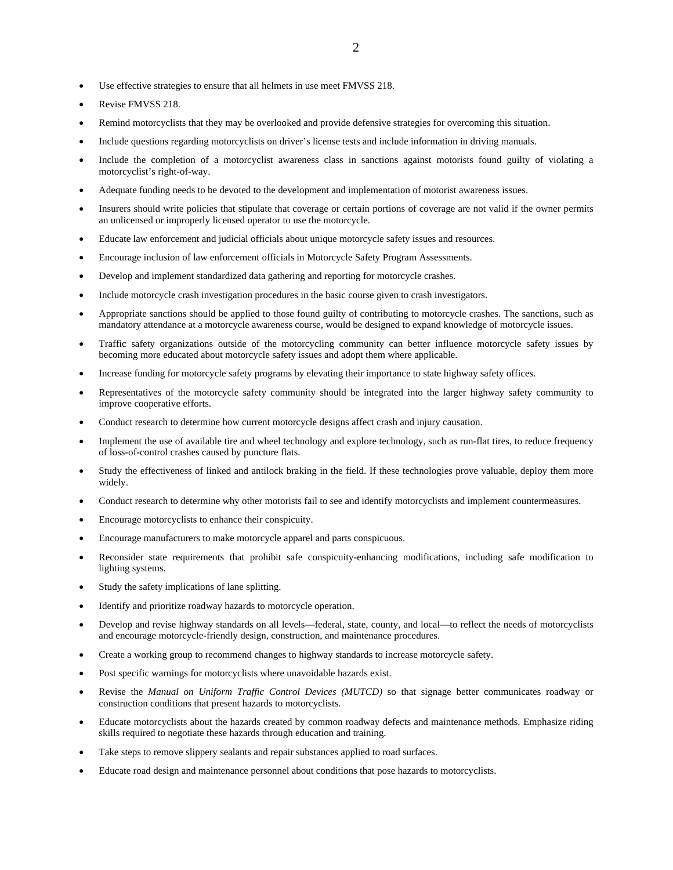- Use effective strategies to ensure that all helmets in use meet FMVSS 218.
- Revise FMVSS 218.
- Remind motorcyclists that they may be overlooked and provide defensive strategies for overcoming this situation.
- Include questions regarding motorcyclists on driver's license tests and include information in driving manuals.
- Include the completion of a motorcyclist awareness class in sanctions against motorists found guilty of violating a motorcyclist's right-of-way.
- Adequate funding needs to be devoted to the development and implementation of motorist awareness issues.
- Insurers should write policies that stipulate that coverage or certain portions of coverage are not valid if the owner permits an unlicensed or improperly licensed operator to use the motorcycle.
- Educate law enforcement and judicial officials about unique motorcycle safety issues and resources.
- Encourage inclusion of law enforcement officials in Motorcycle Safety Program Assessments.
- Develop and implement standardized data gathering and reporting for motorcycle crashes.
- Include motorcycle crash investigation procedures in the basic course given to crash investigators.
- Appropriate sanctions should be applied to those found guilty of contributing to motorcycle crashes. The sanctions, such as mandatory attendance at a motorcycle awareness course, would be designed to expand knowledge of motorcycle issues.
- Traffic safety organizations outside of the motorcycling community can better influence motorcycle safety issues by becoming more educated about motorcycle safety issues and adopt them where applicable.
- Increase funding for motorcycle safety programs by elevating their importance to state highway safety offices.
- Representatives of the motorcycle safety community should be integrated into the larger highway safety community to improve cooperative efforts.
- Conduct research to determine how current motorcycle designs affect crash and injury causation.
- Implement the use of available tire and wheel technology and explore technology, such as run-flat tires, to reduce frequency of loss-of-control crashes caused by puncture flats.
- Study the effectiveness of linked and antilock braking in the field. If these technologies prove valuable, deploy them more widely.
- Conduct research to determine why other motorists fail to see and identify motorcyclists and implement countermeasures.
- Encourage motorcyclists to enhance their conspicuity.
- Encourage manufacturers to make motorcycle apparel and parts conspicuous.
- Reconsider state requirements that prohibit safe conspicuity-enhancing modifications, including safe modification to lighting systems.
- Study the safety implications of lane splitting.
- Identify and prioritize roadway hazards to motorcycle operation.
- Develop and revise highway standards on all levels—federal, state, county, and local—to reflect the needs of motorcyclists and encourage motorcycle-friendly design, construction, and maintenance procedures.
- Create a working group to recommend changes to highway standards to increase motorcycle safety.
- Post specific warnings for motorcyclists where unavoidable hazards exist.
- Revise the *Manual on Uniform Traffic Control Devices (MUTCD)* so that signage better communicates roadway or construction conditions that present hazards to motorcyclists.
- Educate motorcyclists about the hazards created by common roadway defects and maintenance methods. Emphasize riding skills required to negotiate these hazards through education and training.
- Take steps to remove slippery sealants and repair substances applied to road surfaces.
- Educate road design and maintenance personnel about conditions that pose hazards to motorcyclists.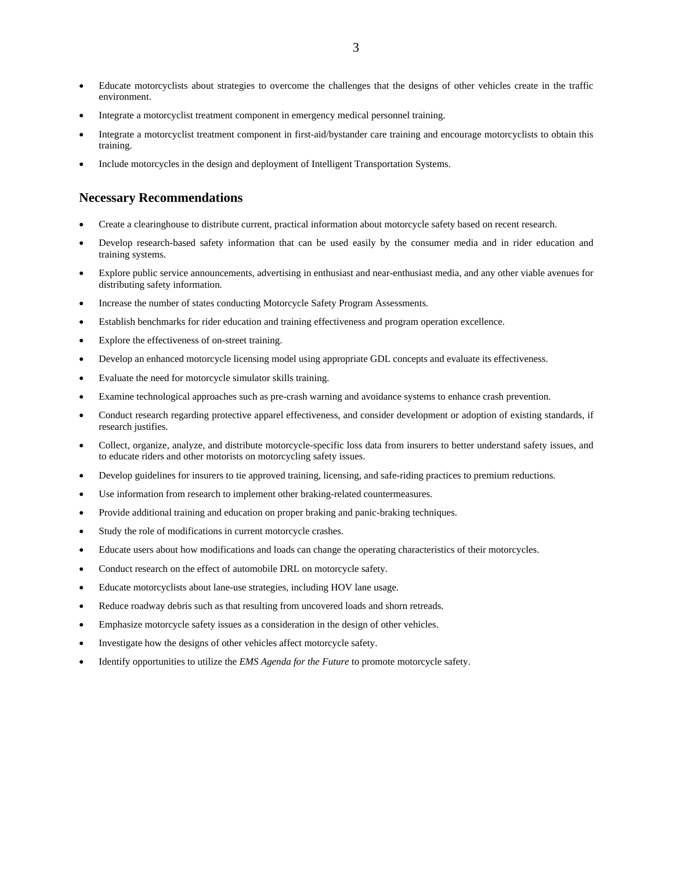- Educate motorcyclists about strategies to overcome the challenges that the designs of other vehicles create in the traffic environment.
- Integrate a motorcyclist treatment component in emergency medical personnel training.
- Integrate a motorcyclist treatment component in first-aid/bystander care training and encourage motorcyclists to obtain this training.
- Include motorcycles in the design and deployment of Intelligent Transportation Systems.

#### **Necessary Recommendations**

- Create a clearinghouse to distribute current, practical information about motorcycle safety based on recent research.
- Develop research-based safety information that can be used easily by the consumer media and in rider education and training systems.
- Explore public service announcements, advertising in enthusiast and near-enthusiast media, and any other viable avenues for distributing safety information.
- Increase the number of states conducting Motorcycle Safety Program Assessments.
- Establish benchmarks for rider education and training effectiveness and program operation excellence.
- Explore the effectiveness of on-street training.
- Develop an enhanced motorcycle licensing model using appropriate GDL concepts and evaluate its effectiveness.
- Evaluate the need for motorcycle simulator skills training.
- Examine technological approaches such as pre-crash warning and avoidance systems to enhance crash prevention.
- Conduct research regarding protective apparel effectiveness, and consider development or adoption of existing standards, if research justifies.
- Collect, organize, analyze, and distribute motorcycle-specific loss data from insurers to better understand safety issues, and to educate riders and other motorists on motorcycling safety issues.
- Develop guidelines for insurers to tie approved training, licensing, and safe-riding practices to premium reductions.
- Use information from research to implement other braking-related countermeasures.
- Provide additional training and education on proper braking and panic-braking techniques.
- Study the role of modifications in current motorcycle crashes.
- Educate users about how modifications and loads can change the operating characteristics of their motorcycles.
- Conduct research on the effect of automobile DRL on motorcycle safety.
- Educate motorcyclists about lane-use strategies, including HOV lane usage.
- Reduce roadway debris such as that resulting from uncovered loads and shorn retreads.
- Emphasize motorcycle safety issues as a consideration in the design of other vehicles.
- Investigate how the designs of other vehicles affect motorcycle safety.
- Identify opportunities to utilize the *EMS Agenda for the Future* to promote motorcycle safety.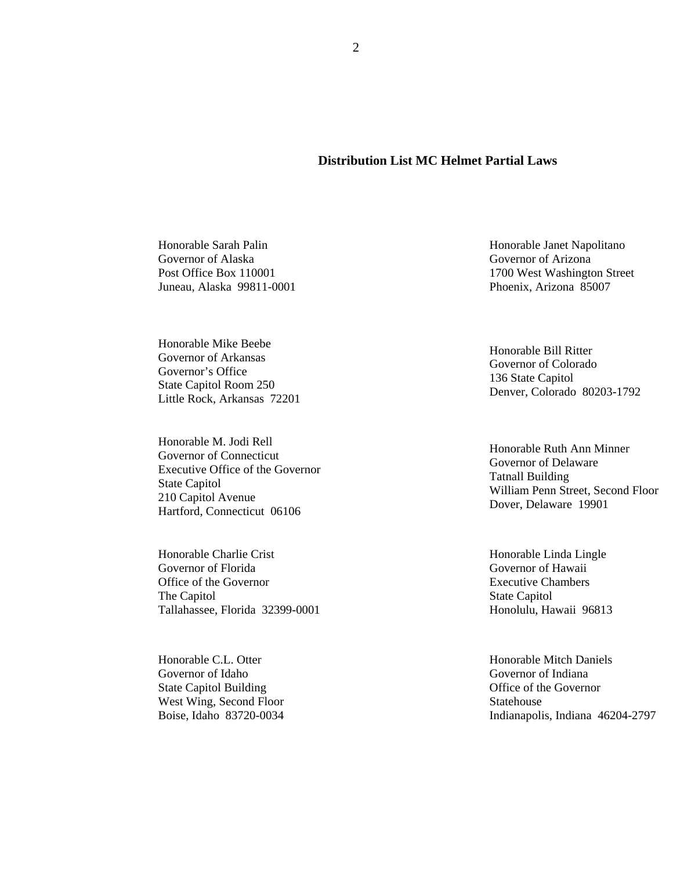### **Distribution List MC Helmet Partial Laws**

Honorable Sarah Palin Governor of Alaska Post Office Box 110001 Juneau, Alaska 99811-0001

Honorable Mike Beebe Governor of Arkansas Governor's Office State Capitol Room 250 Little Rock, Arkansas 72201

Honorable M. Jodi Rell Governor of Connecticut Executive Office of the Governor State Capitol 210 Capitol Avenue Hartford, Connecticut 06106

Honorable Charlie Crist Governor of Florida Office of the Governor The Capitol Tallahassee, Florida 32399-0001

Honorable C.L. Otter Governor of Idaho State Capitol Building West Wing, Second Floor Boise, Idaho 83720-0034

Honorable Janet Napolitano Governor of Arizona 1700 West Washington Street Phoenix, Arizona 85007

Honorable Bill Ritter Governor of Colorado 136 State Capitol Denver, Colorado 80203-1792

Honorable Ruth Ann Minner Governor of Delaware Tatnall Building William Penn Street, Second Floor Dover, Delaware 19901

Honorable Linda Lingle Governor of Hawaii Executive Chambers State Capitol Honolulu, Hawaii 96813

Honorable Mitch Daniels Governor of Indiana Office of the Governor Statehouse Indianapolis, Indiana 46204-2797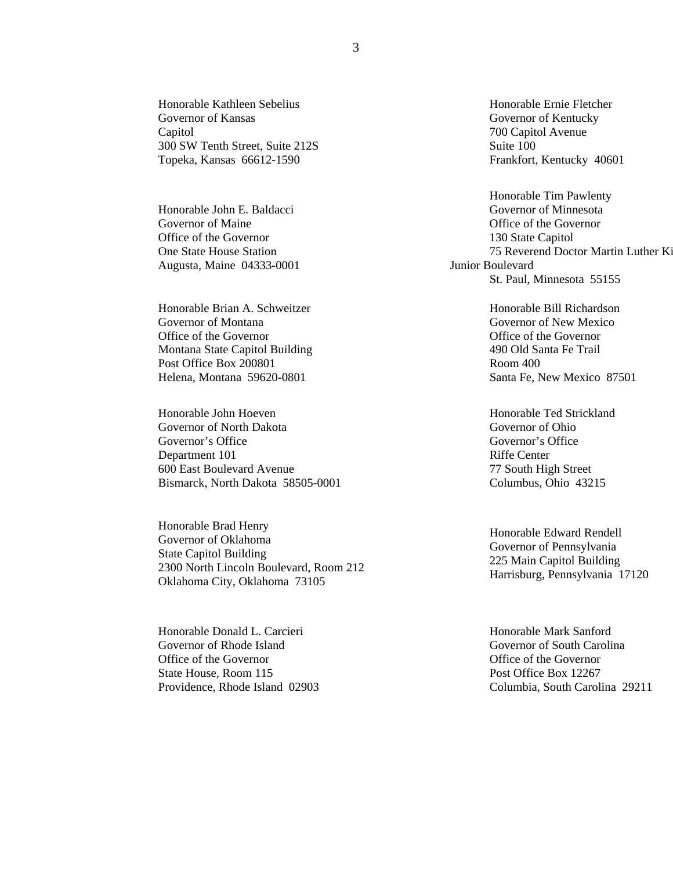Honorable Kathleen Sebelius Governor of Kansas Capitol 300 SW Tenth Street, Suite 212S Topeka, Kansas 66612-1590

Honorable John E. Baldacci Governor of Maine Office of the Governor One State House Station Augusta, Maine 04333-0001

Honorable Brian A. Schweitzer Governor of Montana Office of the Governor Montana State Capitol Building Post Office Box 200801 Helena, Montana 59620-0801

Honorable John Hoeven Governor of North Dakota Governor's Office Department 101 600 East Boulevard Avenue Bismarck, North Dakota 58505-0001

Honorable Brad Henry Governor of Oklahoma State Capitol Building 2300 North Lincoln Boulevard, Room 212 Oklahoma City, Oklahoma 73105

Honorable Donald L. Carcieri Governor of Rhode Island Office of the Governor State House, Room 115 Providence, Rhode Island 02903 Honorable Ernie Fletcher Governor of Kentucky 700 Capitol Avenue Suite 100 Frankfort, Kentucky 40601

Honorable Tim Pawlenty Governor of Minnesota Office of the Governor 130 State Capitol 75 Reverend Doctor Martin Luther Ki Junior Boulevard St. Paul, Minnesota 55155

> Honorable Bill Richardson Governor of New Mexico Office of the Governor 490 Old Santa Fe Trail Room 400 Santa Fe, New Mexico 87501

Honorable Ted Strickland Governor of Ohio Governor's Office Riffe Center 77 South High Street Columbus, Ohio 43215

Honorable Edward Rendell Governor of Pennsylvania 225 Main Capitol Building Harrisburg, Pennsylvania 17120

Honorable Mark Sanford Governor of South Carolina Office of the Governor Post Office Box 12267 Columbia, South Carolina 29211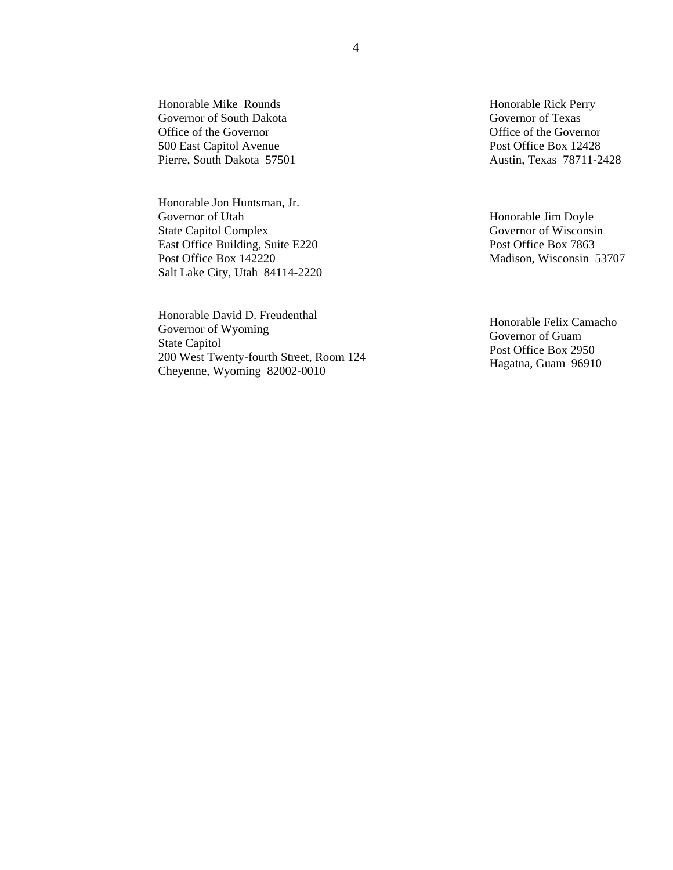Honorable Mike Rounds Governor of South Dakota Office of the Governor 500 East Capitol Avenue Pierre, South Dakota 57501

Honorable Jon Huntsman, Jr. Governor of Utah State Capitol Complex East Office Building, Suite E220 Post Office Box 142220 Salt Lake City, Utah 84114-2220

Honorable David D. Freudenthal Governor of Wyoming State Capitol 200 West Twenty-fourth Street, Room 124 Cheyenne, Wyoming 82002-0010

Honorable Rick Perry Governor of Texas Office of the Governor Post Office Box 12428 Austin, Texas 78711-2428

Honorable Jim Doyle Governor of Wisconsin Post Office Box 7863 Madison, Wisconsin 53707

Honorable Felix Camacho Governor of Guam Post Office Box 2950 Hagatna, Guam 96910